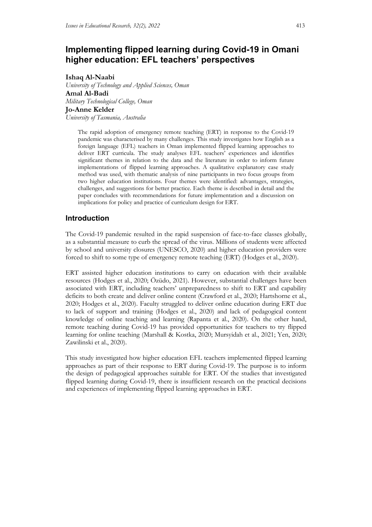# **Implementing flipped learning during Covid-19 in Omani higher education: EFL teachers' perspectives**

**Ishaq Al-Naabi**

*University of Technology and Applied Sciences, Oman* **Amal Al-Badi** *Military Technological College, Oman* **Jo-Anne Kelder** *University of Tasmania, Australia*

> The rapid adoption of emergency remote teaching (ERT) in response to the Covid-19 pandemic was characterised by many challenges. This study investigates how English as a foreign language (EFL) teachers in Oman implemented flipped learning approaches to deliver ERT curricula. The study analyses EFL teachers' experiences and identifies significant themes in relation to the data and the literature in order to inform future implementations of flipped learning approaches. A qualitative explanatory case study method was used, with thematic analysis of nine participants in two focus groups from two higher education institutions. Four themes were identified: advantages, strategies, challenges, and suggestions for better practice. Each theme is described in detail and the paper concludes with recommendations for future implementation and a discussion on implications for policy and practice of curriculum design for ERT.

## **Introduction**

The Covid-19 pandemic resulted in the rapid suspension of face-to-face classes globally, as a substantial measure to curb the spread of the virus. Millions of students were affected by school and university closures (UNESCO, 2020) and higher education providers were forced to shift to some type of emergency remote teaching (ERT) (Hodges et al., 2020).

ERT assisted higher education institutions to carry on education with their available resources (Hodges et al., 2020; Özüdo, 2021). However, substantial challenges have been associated with ERT, including teachers' unpreparedness to shift to ERT and capability deficits to both create and deliver online content (Crawford et al., 2020; Hartshorne et al., 2020; Hodges et al., 2020). Faculty struggled to deliver online education during ERT due to lack of support and training (Hodges et al., 2020) and lack of pedagogical content knowledge of online teaching and learning (Rapanta et al., 2020). On the other hand, remote teaching during Covid-19 has provided opportunities for teachers to try flipped learning for online teaching (Marshall & Kostka, 2020; Mursyidah et al., 2021; Yen, 2020; Zawilinski et al., 2020).

This study investigated how higher education EFL teachers implemented flipped learning approaches as part of their response to ERT during Covid-19. The purpose is to inform the design of pedagogical approaches suitable for ERT. Of the studies that investigated flipped learning during Covid-19, there is insufficient research on the practical decisions and experiences of implementing flipped learning approaches in ERT.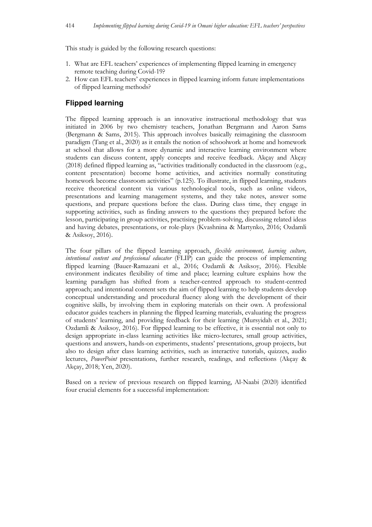This study is guided by the following research questions:

- 1. What are EFL teachers' experiences of implementing flipped learning in emergency remote teaching during Covid-19?
- 2. How can EFL teachers' experiences in flipped learning inform future implementations of flipped learning methods?

## **Flipped learning**

The flipped learning approach is an innovative instructional methodology that was initiated in 2006 by two chemistry teachers, Jonathan Bergmann and Aaron Sams (Bergmann & Sams, 2015). This approach involves basically reimagining the classroom paradigm (Tang et al., 2020) as it entails the notion of schoolwork at home and homework at school that allows for a more dynamic and interactive learning environment where students can discuss content, apply concepts and receive feedback. Akçay and Akçay (2018) defined flipped learning as, "activities traditionally conducted in the classroom (e.g., content presentation) become home activities, and activities normally constituting homework become classroom activities" (p.125). To illustrate, in flipped learning, students receive theoretical content via various technological tools, such as online videos, presentations and learning management systems, and they take notes, answer some questions, and prepare questions before the class. During class time, they engage in supporting activities, such as finding answers to the questions they prepared before the lesson, participating in group activities, practising problem-solving, discussing related ideas and having debates, presentations, or role-plays (Kvashnina & Martynko, 2016; Ozdamli & Asiksoy, 2016).

The four pillars of the flipped learning approach, *flexible environment, learning culture, intentional content and professional educator* (FLIP) can guide the process of implementing flipped learning (Bauer-Ramazani et al., 2016; Ozdamli & Asiksoy, 2016). Flexible environment indicates flexibility of time and place; learning culture explains how the learning paradigm has shifted from a teacher-centred approach to student-centred approach; and intentional content sets the aim of flipped learning to help students develop conceptual understanding and procedural fluency along with the development of their cognitive skills, by involving them in exploring materials on their own. A professional educator guides teachers in planning the flipped learning materials, evaluating the progress of students' learning, and providing feedback for their learning (Mursyidah et al., 2021; Ozdamli & Asiksoy, 2016). For flipped learning to be effective, it is essential not only to design appropriate in-class learning activities like micro-lectures, small group activities, questions and answers, hands-on experiments, students' presentations, group projects, but also to design after class learning activities, such as interactive tutorials, quizzes, audio lectures, *PowerPoint* presentations, further research, readings, and reflections (Akçay & Akçay, 2018; Yen, 2020).

Based on a review of previous research on flipped learning, Al-Naabi (2020) identified four crucial elements for a successful implementation: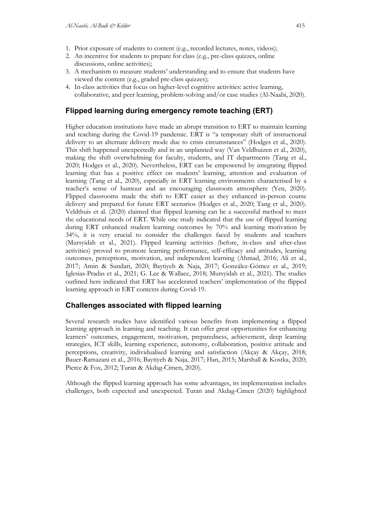- 1. Prior exposure of students to content (e.g., recorded lectures, notes, videos);
- 2. An incentive for students to prepare for class (e.g., pre-class quizzes, online discussions, online activities);
- 3. A mechanism to measure students' understanding and to ensure that students have viewed the content (e.g., graded pre-class quizzes);
- 4. In-class activities that focus on higher-level cognitive activities: active learning, collaborative, and peer learning, problem-solving and/or case studies (Al-Naabi, 2020).

### **Flipped learning during emergency remote teaching (ERT)**

Higher education institutions have made an abrupt transition to ERT to maintain learning and teaching during the Covid-19 pandemic. ERT is "a temporary shift of instructional delivery to an alternate delivery mode due to crisis circumstances" (Hodges et al., 2020). This shift happened unexpectedly and in an unplanned way (Van Veldhuizen et al., 2020), making the shift overwhelming for faculty, students, and IT departments (Tang et al., 2020; Hodges et al., 2020). Nevertheless, ERT can be empowered by integrating flipped learning that has a positive effect on students' learning, attention and evaluation of learning (Tang et al., 2020), especially in ERT learning environments characterised by a teacher's sense of humour and an encouraging classroom atmosphere (Yen, 2020). Flipped classrooms made the shift to ERT easier as they enhanced in-person course delivery and prepared for future ERT scenarios (Hodges et al., 2020; Tang et al., 2020). Veldthuis et al. (2020) claimed that flipped learning can be a successful method to meet the educational needs of ERT. While one study indicated that the use of flipped learning during ERT enhanced student learning outcomes by 70% and learning motivation by 34%, it is very crucial to consider the challenges faced by students and teachers (Mursyidah et al., 2021). Flipped learning activities (before, in-class and after-class activities) proved to promote learning performance, self-efficacy and attitudes, learning outcomes, perceptions, motivation, and independent learning (Ahmad, 2016; Ali et al., 2017; Amin & Sundari, 2020; Baytiyeh & Naja, 2017; González-Gómez et al., 2019; Iglesias-Pradas et al., 2021; G. Lee & Wallace, 2018; Mursyidah et al., 2021). The studies outlined here indicated that ERT has accelerated teachers' implementation of the flipped learning approach in ERT contexts during Covid-19.

### **Challenges associated with flipped learning**

Several research studies have identified various benefits from implementing a flipped learning approach in learning and teaching. It can offer great opportunities for enhancing learners' outcomes, engagement, motivation, preparedness, achievement, deep learning strategies, ICT skills, learning experience, autonomy, collaboration, positive attitude and perceptions, creativity, individualised learning and satisfaction (Akçay & Akçay, 2018; Bauer-Ramazani et al., 2016; Baytiyeh & Naja, 2017; Han, 2015; Marshall & Kostka, 2020; Pierce & Fox, 2012; Turan & Akdag-Cimen, 2020).

Although the flipped learning approach has some advantages, its implementation includes challenges, both expected and unexpected. Turan and Akdag-Cimen (2020) highlighted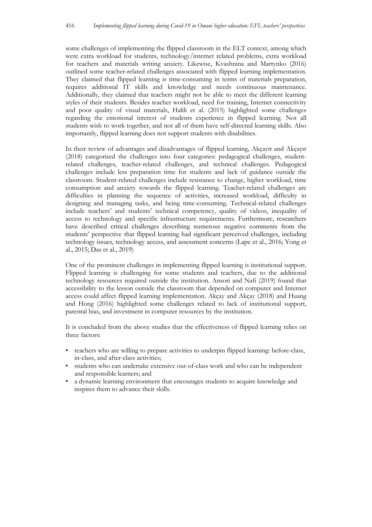some challenges of implementing the flipped classroom in the ELT context, among which were extra workload for students, technology/internet related problems, extra workload for teachers and materials writing anxiety. Likewise, Kvashnina and Martynko (2016) outlined some teacher-related challenges associated with flipped learning implementation. They claimed that flipped learning is time-consuming in terms of materials preparation, requires additional IT skills and knowledge and needs continuous maintenance. Additionally, they claimed that teachers might not be able to meet the different learning styles of their students. Besides teacher workload, need for training, Internet connectivity and poor quality of visual materials, Halili et al. (2015) highlighted some challenges regarding the emotional interest of students experience in flipped learning. Not all students wish to work together, and not all of them have self-directed learning skills. Also importantly, flipped learning does not support students with disabilities.

In their review of advantages and disadvantages of flipped learning, Akçayır and Akçayır (2018) categorised the challenges into four categories: pedagogical challenges, studentrelated challenges, teacher-related challenges, and technical challenges. Pedagogical challenges include less preparation time for students and lack of guidance outside the classroom. Student-related challenges include resistance to change, higher workload, time consumption and anxiety towards the flipped learning. Teacher-related challenges are difficulties in planning the sequence of activities, increased workload, difficulty in designing and managing tasks, and being time-consuming. Technical-related challenges include teachers' and students' technical competency, quality of videos, inequality of access to technology and specific infrastructure requirements. Furthermore, researchers have described critical challenges describing numerous negative comments from the students' perspective that flipped learning had significant perceived challenges, including technology issues, technology access, and assessment concerns (Lape et al., 2016; Yong et al., 2015; Das et al., 2019)

One of the prominent challenges in implementing flipped learning is institutional support. Flipped learning is challenging for some students and teachers, due to the additional technology resources required outside the institution. Ansori and Nafi (2019) found that accessibility to the lesson outside the classroom that depended on computer and Internet access could affect flipped learning implementation. Akçay and Akçay (2018) and Huang and Hong (2016) highlighted some challenges related to lack of institutional support, parental bias, and investment in computer resources by the institution.

It is concluded from the above studies that the effectiveness of flipped learning relies on three factors:

- teachers who are willing to prepare activities to underpin flipped learning: before-class, in-class, and after-class activities;
- students who can undertake extensive out-of-class work and who can be independent and responsible learners; and
- a dynamic learning environment that encourages students to acquire knowledge and inspires them to advance their skills.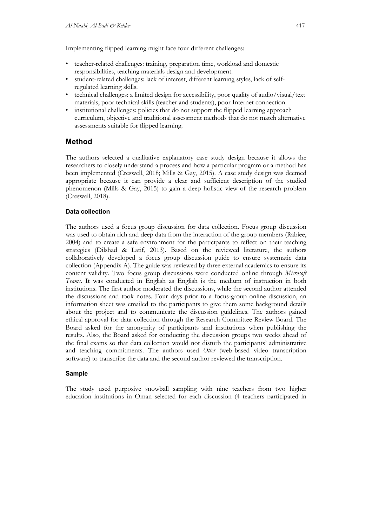Implementing flipped learning might face four different challenges:

- teacher-related challenges: training, preparation time, workload and domestic responsibilities, teaching materials design and development.
- student-related challenges: lack of interest, different learning styles, lack of selfregulated learning skills.
- technical challenges: a limited design for accessibility, poor quality of audio/visual/text materials, poor technical skills (teacher and students), poor Internet connection.
- institutional challenges: policies that do not support the flipped learning approach curriculum, objective and traditional assessment methods that do not match alternative assessments suitable for flipped learning.

### **Method**

The authors selected a qualitative explanatory case study design because it allows the researchers to closely understand a process and how a particular program or a method has been implemented (Creswell, 2018; Mills & Gay, 2015). A case study design was deemed appropriate because it can provide a clear and sufficient description of the studied phenomenon (Mills & Gay, 2015) to gain a deep holistic view of the research problem (Creswell, 2018).

### **Data collection**

The authors used a focus group discussion for data collection. Focus group discussion was used to obtain rich and deep data from the interaction of the group members (Rabiee, 2004) and to create a safe environment for the participants to reflect on their teaching strategies (Dilshad & Latif, 2013). Based on the reviewed literature, the authors collaboratively developed a focus group discussion guide to ensure systematic data collection (Appendix A). The guide was reviewed by three external academics to ensure its content validity. Two focus group discussions were conducted online through *Microsoft Teams*. It was conducted in English as English is the medium of instruction in both institutions. The first author moderated the discussions, while the second author attended the discussions and took notes. Four days prior to a focus-group online discussion, an information sheet was emailed to the participants to give them some background details about the project and to communicate the discussion guidelines. The authors gained ethical approval for data collection through the Research Committee Review Board. The Board asked for the anonymity of participants and institutions when publishing the results. Also, the Board asked for conducting the discussion groups two weeks ahead of the final exams so that data collection would not disturb the participants' administrative and teaching commitments. The authors used *Otter* (web-based video transcription software) to transcribe the data and the second author reviewed the transcription.

### **Sample**

The study used purposive snowball sampling with nine teachers from two higher education institutions in Oman selected for each discussion (4 teachers participated in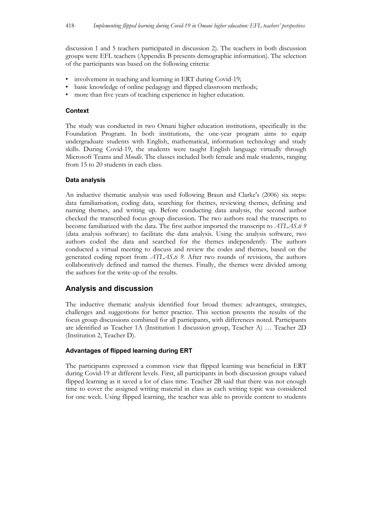discussion 1 and 5 teachers participated in discussion 2). The teachers in both discussion groups were EFL teachers (Appendix B presents demographic information). The selection of the participants was based on the following criteria:

- involvement in teaching and learning in ERT during Covid-19;
- basic knowledge of online pedagogy and flipped classroom methods;
- more than five years of teaching experience in higher education.

### **Context**

The study was conducted in two Omani higher education institutions, specifically in the Foundation Program. In both institutions, the one-year program aims to equip undergraduate students with English, mathematical, information technology and study skills. During Covid-19, the students were taught English language virtually through Microsoft Teams and *Moodle*. The classes included both female and male students, ranging from 15 to 20 students in each class.

### **Data analysis**

An inductive thematic analysis was used following Braun and Clarke's (2006) six steps: data familiarisation, coding data, searching for themes, reviewing themes, defining and naming themes, and writing up. Before conducting data analysis, the second author checked the transcribed focus group discussion. The two authors read the transcripts to become familiarized with the data. The first author imported the transcript to *ATLAS.ti 9* (data analysis software) to facilitate the data analysis. Using the analysis software, two authors coded the data and searched for the themes independently. The authors conducted a virtual meeting to discuss and review the codes and themes, based on the generated coding report from *ATLAS.ti 9*. After two rounds of revisions, the authors collaboratively defined and named the themes. Finally, the themes were divided among the authors for the write-up of the results.

### **Analysis and discussion**

The inductive thematic analysis identified four broad themes: advantages, strategies, challenges and suggestions for better practice. This section presents the results of the focus group discussions combined for all participants, with differences noted. Participants are identified as Teacher 1A (Institution 1 discussion group, Teacher A) … Teacher 2D (Institution 2, Teacher D).

### **Advantages of flipped learning during ERT**

The participants expressed a common view that flipped learning was beneficial in ERT during Covid-19 at different levels. First, all participants in both discussion groups valued flipped learning as it saved a lot of class time. Teacher 2B said that there was not enough time to cover the assigned writing material in class as each writing topic was considered for one week. Using flipped learning, the teacher was able to provide content to students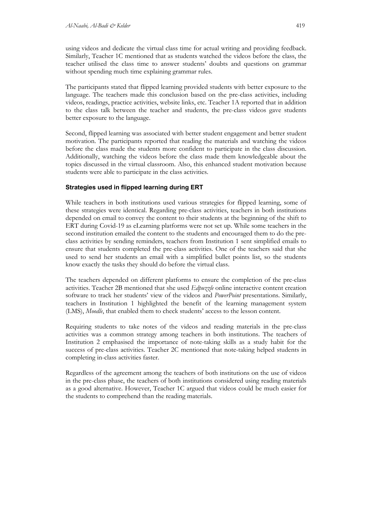using videos and dedicate the virtual class time for actual writing and providing feedback. Similarly, Teacher 1C mentioned that as students watched the videos before the class, the teacher utilised the class time to answer students' doubts and questions on grammar without spending much time explaining grammar rules.

The participants stated that flipped learning provided students with better exposure to the language. The teachers made this conclusion based on the pre-class activities, including videos, readings, practice activities, website links, etc. Teacher 1A reported that in addition to the class talk between the teacher and students, the pre-class videos gave students better exposure to the language.

Second, flipped learning was associated with better student engagement and better student motivation. The participants reported that reading the materials and watching the videos before the class made the students more confident to participate in the class discussion. Additionally, watching the videos before the class made them knowledgeable about the topics discussed in the virtual classroom. Also, this enhanced student motivation because students were able to participate in the class activities.

### **Strategies used in flipped learning during ERT**

While teachers in both institutions used various strategies for flipped learning, some of these strategies were identical. Regarding pre-class activities, teachers in both institutions depended on email to convey the content to their students at the beginning of the shift to ERT during Covid-19 as eLearning platforms were not set up. While some teachers in the second institution emailed the content to the students and encouraged them to do the preclass activities by sending reminders, teachers from Institution 1 sent simplified emails to ensure that students completed the pre-class activities. One of the teachers said that she used to send her students an email with a simplified bullet points list, so the students know exactly the tasks they should do before the virtual class.

The teachers depended on different platforms to ensure the completion of the pre-class activities. Teacher 2B mentioned that she used *Edpuzzle* online interactive content creation software to track her students' view of the videos and *PowerPoint* presentations. Similarly, teachers in Institution 1 highlighted the benefit of the learning management system (LMS), *Moodle*, that enabled them to check students' access to the lesson content.

Requiring students to take notes of the videos and reading materials in the pre-class activities was a common strategy among teachers in both institutions. The teachers of Institution 2 emphasised the importance of note-taking skills as a study habit for the success of pre-class activities. Teacher 2C mentioned that note-taking helped students in completing in-class activities faster.

Regardless of the agreement among the teachers of both institutions on the use of videos in the pre-class phase, the teachers of both institutions considered using reading materials as a good alternative. However, Teacher 1C argued that videos could be much easier for the students to comprehend than the reading materials.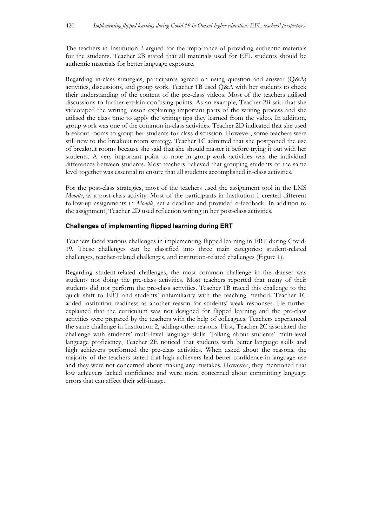The teachers in Institution 2 argued for the importance of providing authentic materials for the students. Teacher 2B stated that all materials used for EFL students should be authentic materials for better language exposure.

Regarding in-class strategies, participants agreed on using question and answer (Q&A) activities, discussions, and group work. Teacher 1B used Q&A with her students to check their understanding of the content of the pre-class videos. Most of the teachers utilised discussions to further explain confusing points. As an example, Teacher 2B said that she videotaped the writing lesson explaining important parts of the writing process and she utilised the class time to apply the writing tips they learned from the video. In addition, group work was one of the common in-class activities. Teacher 2D indicated that she used breakout rooms to group her students for class discussion. However, some teachers were still new to the breakout room strategy. Teacher 1C admitted that she postponed the use of breakout rooms because she said that she should master it before trying it out with her students. A very important point to note in group-work activities was the individual differences between students. Most teachers believed that grouping students of the same level together was essential to ensure that all students accomplished in-class activities.

For the post-class strategies, most of the teachers used the assignment tool in the LMS *Moodle*, as a post-class activity. Most of the participants in Institution 1 created different follow-up assignments in *Moodle*, set a deadline and provided e-feedback. In addition to the assignment, Teacher 2D used reflection writing in her post-class activities.

#### **Challenges of implementing flipped learning during ERT**

Teachers faced various challenges in implementing flipped learning in ERT during Covid-19. These challenges can be classified into three main categories: student-related challenges, teacher-related challenges, and institution-related challenges (Figure 1).

Regarding student-related challenges, the most common challenge in the dataset was students not doing the pre-class activities. Most teachers reported that many of their students did not perform the pre-class activities. Teacher 1B traced this challenge to the quick shift to ERT and students' unfamiliarity with the teaching method. Teacher 1C added institution readiness as another reason for students' weak responses. He further explained that the curriculum was not designed for flipped learning and the pre-class activities were prepared by the teachers with the help of colleagues. Teachers experienced the same challenge in Institution 2, adding other reasons. First, Teacher 2C associated the challenge with students' multi-level language skills. Talking about students' multi-level language proficiency, Teacher 2E noticed that students with better language skills and high achievers performed the pre-class activities. When asked about the reasons, the majority of the teachers stated that high achievers had better confidence in language use and they were not concerned about making any mistakes. However, they mentioned that low achievers lacked confidence and were more concerned about committing language errors that can affect their self-image.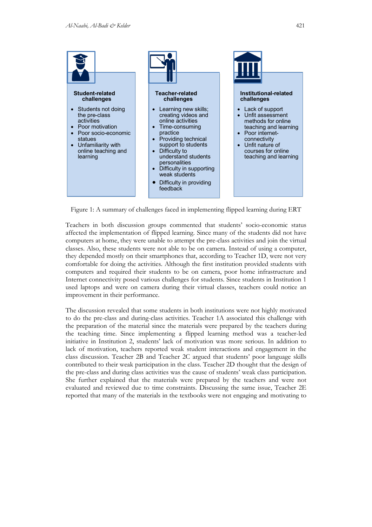

Figure 1: A summary of challenges faced in implementing flipped learning during ERT

Teachers in both discussion groups commented that students' socio-economic status affected the implementation of flipped learning. Since many of the students did not have computers at home, they were unable to attempt the pre-class activities and join the virtual classes. Also, these students were not able to be on camera. Instead of using a computer, they depended mostly on their smartphones that, according to Teacher 1D, were not very comfortable for doing the activities. Although the first institution provided students with computers and required their students to be on camera, poor home infrastructure and Internet connectivity posed various challenges for students. Since students in Institution 1 used laptops and were on camera during their virtual classes, teachers could notice an improvement in their performance.

The discussion revealed that some students in both institutions were not highly motivated to do the pre-class and during-class activities. Teacher 1A associated this challenge with the preparation of the material since the materials were prepared by the teachers during the teaching time. Since implementing a flipped learning method was a teacher-led initiative in Institution 2, students' lack of motivation was more serious. In addition to lack of motivation, teachers reported weak student interactions and engagement in the class discussion. Teacher 2B and Teacher 2C argued that students' poor language skills contributed to their weak participation in the class. Teacher 2D thought that the design of the pre-class and during class activities was the cause of students' weak class participation. She further explained that the materials were prepared by the teachers and were not evaluated and reviewed due to time constraints. Discussing the same issue, Teacher 2E reported that many of the materials in the textbooks were not engaging and motivating to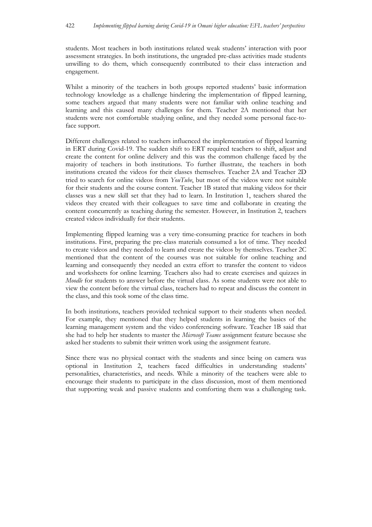students. Most teachers in both institutions related weak students' interaction with poor assessment strategies. In both institutions, the ungraded pre-class activities made students unwilling to do them, which consequently contributed to their class interaction and engagement.

Whilst a minority of the teachers in both groups reported students' basic information technology knowledge as a challenge hindering the implementation of flipped learning, some teachers argued that many students were not familiar with online teaching and learning and this caused many challenges for them. Teacher 2A mentioned that her students were not comfortable studying online, and they needed some personal face-toface support.

Different challenges related to teachers influenced the implementation of flipped learning in ERT during Covid-19. The sudden shift to ERT required teachers to shift, adjust and create the content for online delivery and this was the common challenge faced by the majority of teachers in both institutions. To further illustrate, the teachers in both institutions created the videos for their classes themselves. Teacher 2A and Teacher 2D tried to search for online videos from *YouTube*, but most of the videos were not suitable for their students and the course content. Teacher 1B stated that making videos for their classes was a new skill set that they had to learn. In Institution 1, teachers shared the videos they created with their colleagues to save time and collaborate in creating the content concurrently as teaching during the semester. However, in Institution 2, teachers created videos individually for their students.

Implementing flipped learning was a very time-consuming practice for teachers in both institutions. First, preparing the pre-class materials consumed a lot of time. They needed to create videos and they needed to learn and create the videos by themselves. Teacher 2C mentioned that the content of the courses was not suitable for online teaching and learning and consequently they needed an extra effort to transfer the content to videos and worksheets for online learning. Teachers also had to create exercises and quizzes in *Moodle* for students to answer before the virtual class. As some students were not able to view the content before the virtual class, teachers had to repeat and discuss the content in the class, and this took some of the class time.

In both institutions, teachers provided technical support to their students when needed. For example, they mentioned that they helped students in learning the basics of the learning management system and the video conferencing software. Teacher 1B said that she had to help her students to master the *Microsoft Teams* assignment feature because she asked her students to submit their written work using the assignment feature.

Since there was no physical contact with the students and since being on camera was optional in Institution 2, teachers faced difficulties in understanding students' personalities, characteristics, and needs. While a minority of the teachers were able to encourage their students to participate in the class discussion, most of them mentioned that supporting weak and passive students and comforting them was a challenging task.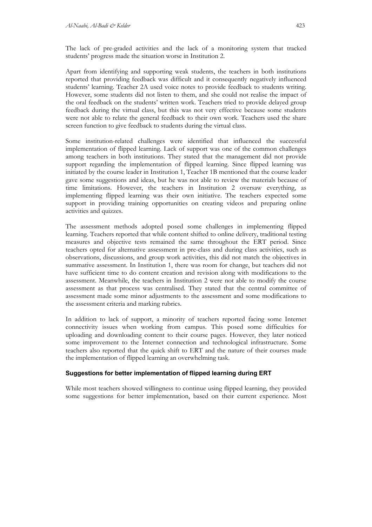The lack of pre-graded activities and the lack of a monitoring system that tracked students' progress made the situation worse in Institution 2.

Apart from identifying and supporting weak students, the teachers in both institutions reported that providing feedback was difficult and it consequently negatively influenced students' learning. Teacher 2A used voice notes to provide feedback to students writing. However, some students did not listen to them, and she could not realise the impact of the oral feedback on the students' written work. Teachers tried to provide delayed group feedback during the virtual class, but this was not very effective because some students were not able to relate the general feedback to their own work. Teachers used the share screen function to give feedback to students during the virtual class.

Some institution-related challenges were identified that influenced the successful implementation of flipped learning. Lack of support was one of the common challenges among teachers in both institutions. They stated that the management did not provide support regarding the implementation of flipped learning. Since flipped learning was initiated by the course leader in Institution 1, Teacher 1B mentioned that the course leader gave some suggestions and ideas, but he was not able to review the materials because of time limitations. However, the teachers in Institution 2 oversaw everything, as implementing flipped learning was their own initiative. The teachers expected some support in providing training opportunities on creating videos and preparing online activities and quizzes.

The assessment methods adopted posed some challenges in implementing flipped learning. Teachers reported that while content shifted to online delivery, traditional testing measures and objective tests remained the same throughout the ERT period. Since teachers opted for alternative assessment in pre-class and during class activities, such as observations, discussions, and group work activities, this did not match the objectives in summative assessment. In Institution 1, there was room for change, but teachers did not have sufficient time to do content creation and revision along with modifications to the assessment. Meanwhile, the teachers in Institution 2 were not able to modify the course assessment as that process was centralised. They stated that the central committee of assessment made some minor adjustments to the assessment and some modifications to the assessment criteria and marking rubrics.

In addition to lack of support, a minority of teachers reported facing some Internet connectivity issues when working from campus. This posed some difficulties for uploading and downloading content to their course pages. However, they later noticed some improvement to the Internet connection and technological infrastructure. Some teachers also reported that the quick shift to ERT and the nature of their courses made the implementation of flipped learning an overwhelming task.

### **Suggestions for better implementation of flipped learning during ERT**

While most teachers showed willingness to continue using flipped learning, they provided some suggestions for better implementation, based on their current experience. Most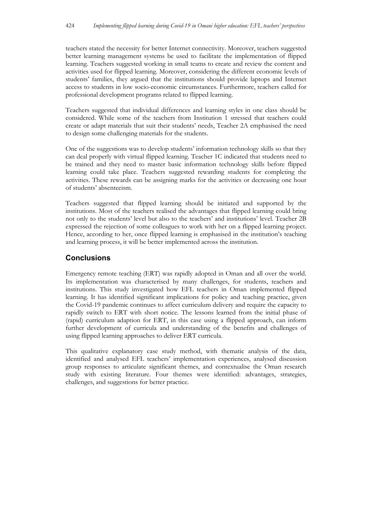teachers stated the necessity for better Internet connectivity. Moreover, teachers suggested better learning management systems be used to facilitate the implementation of flipped learning. Teachers suggested working in small teams to create and review the content and activities used for flipped learning. Moreover, considering the different economic levels of students' families, they argued that the institutions should provide laptops and Internet access to students in low socio-economic circumstances. Furthermore, teachers called for professional development programs related to flipped learning.

Teachers suggested that individual differences and learning styles in one class should be considered. While some of the teachers from Institution 1 stressed that teachers could create or adapt materials that suit their students' needs, Teacher 2A emphasised the need to design some challenging materials for the students.

One of the suggestions was to develop students' information technology skills so that they can deal properly with virtual flipped learning. Teacher 1C indicated that students need to be trained and they need to master basic information technology skills before flipped learning could take place. Teachers suggested rewarding students for completing the activities. These rewards can be assigning marks for the activities or decreasing one hour of students' absenteeism.

Teachers suggested that flipped learning should be initiated and supported by the institutions. Most of the teachers realised the advantages that flipped learning could bring not only to the students' level but also to the teachers' and institutions' level. Teacher 2B expressed the rejection of some colleagues to work with her on a flipped learning project. Hence, according to her, once flipped learning is emphasised in the institution's teaching and learning process, it will be better implemented across the institution.

## **Conclusions**

Emergency remote teaching (ERT) was rapidly adopted in Oman and all over the world. Its implementation was characterised by many challenges, for students, teachers and institutions. This study investigated how EFL teachers in Oman implemented flipped learning. It has identified significant implications for policy and teaching practice, given the Covid-19 pandemic continues to affect curriculum delivery and require the capacity to rapidly switch to ERT with short notice. The lessons learned from the initial phase of (rapid) curriculum adaption for ERT, in this case using a flipped approach, can inform further development of curricula and understanding of the benefits and challenges of using flipped learning approaches to deliver ERT curricula.

This qualitative explanatory case study method, with thematic analysis of the data, identified and analysed EFL teachers' implementation experiences, analysed discussion group responses to articulate significant themes, and contextualise the Oman research study with existing literature. Four themes were identified: advantages, strategies, challenges, and suggestions for better practice.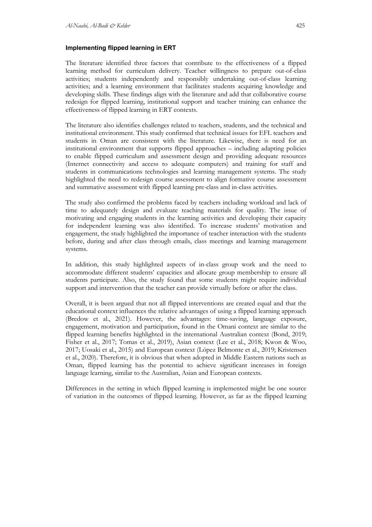#### **Implementing flipped learning in ERT**

The literature identified three factors that contribute to the effectiveness of a flipped learning method for curriculum delivery. Teacher willingness to prepare out-of-class activities; students independently and responsibly undertaking out-of-class learning activities; and a learning environment that facilitates students acquiring knowledge and developing skills. These findings align with the literature and add that collaborative course redesign for flipped learning, institutional support and teacher training can enhance the effectiveness of flipped learning in ERT contexts.

The literature also identifies challenges related to teachers, students, and the technical and institutional environment. This study confirmed that technical issues for EFL teachers and students in Oman are consistent with the literature. Likewise, there is need for an institutional environment that supports flipped approaches – including adapting policies to enable flipped curriculum and assessment design and providing adequate resources (Internet connectivity and access to adequate computers) and training for staff and students in communications technologies and learning management systems. The study highlighted the need to redesign course assessment to align formative course assessment and summative assessment with flipped learning pre-class and in-class activities.

The study also confirmed the problems faced by teachers including workload and lack of time to adequately design and evaluate teaching materials for quality. The issue of motivating and engaging students in the learning activities and developing their capacity for independent learning was also identified. To increase students' motivation and engagement, the study highlighted the importance of teacher interaction with the students before, during and after class through emails, class meetings and learning management systems.

In addition, this study highlighted aspects of in-class group work and the need to accommodate different students' capacities and allocate group membership to ensure all students participate. Also, the study found that some students might require individual support and intervention that the teacher can provide virtually before or after the class.

Overall, it is been argued that not all flipped interventions are created equal and that the educational context influences the relative advantages of using a flipped learning approach (Bredow et al., 2021). However, the advantages: time-saving, language exposure, engagement, motivation and participation, found in the Omani context are similar to the flipped learning benefits highlighted in the international Australian context (Bond, 2019; Fisher et al., 2017; Tomas et al., 2019), Asian context (Lee et al., 2018; Kwon & Woo, 2017; Uosaki et al., 2015) and European context (López Belmonte et al., 2019; Kristensen et al., 2020). Therefore, it is obvious that when adopted in Middle Eastern nations such as Oman, flipped learning has the potential to achieve significant increases in foreign language learning, similar to the Australian, Asian and European contexts.

Differences in the setting in which flipped learning is implemented might be one source of variation in the outcomes of flipped learning. However, as far as the flipped learning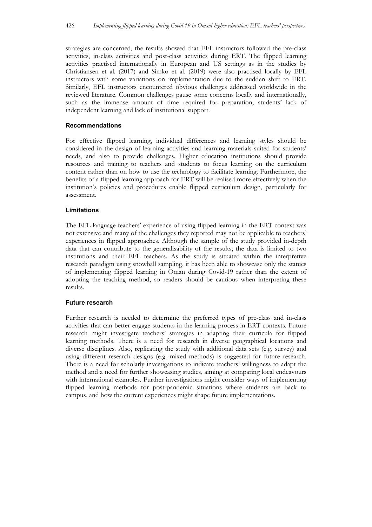strategies are concerned, the results showed that EFL instructors followed the pre-class activities, in-class activities and post-class activities during ERT. The flipped learning activities practised internationally in European and US settings as in the studies by Christiansen et al. (2017) and Simko et al. (2019) were also practised locally by EFL instructors with some variations on implementation due to the sudden shift to ERT. Similarly, EFL instructors encountered obvious challenges addressed worldwide in the reviewed literature. Common challenges pause some concerns locally and internationally, such as the immense amount of time required for preparation, students' lack of independent learning and lack of institutional support.

### **Recommendations**

For effective flipped learning, individual differences and learning styles should be considered in the design of learning activities and learning materials suited for students' needs, and also to provide challenges. Higher education institutions should provide resources and training to teachers and students to focus learning on the curriculum content rather than on how to use the technology to facilitate learning. Furthermore, the benefits of a flipped learning approach for ERT will be realised more effectively when the institution's policies and procedures enable flipped curriculum design, particularly for assessment.

### **Limitations**

The EFL language teachers' experience of using flipped learning in the ERT context was not extensive and many of the challenges they reported may not be applicable to teachers' experiences in flipped approaches. Although the sample of the study provided in-depth data that can contribute to the generalisability of the results, the data is limited to two institutions and their EFL teachers. As the study is situated within the interpretive research paradigm using snowball sampling, it has been able to showcase only the statues of implementing flipped learning in Oman during Covid-19 rather than the extent of adopting the teaching method, so readers should be cautious when interpreting these results.

### **Future research**

Further research is needed to determine the preferred types of pre-class and in-class activities that can better engage students in the learning process in ERT contexts. Future research might investigate teachers' strategies in adapting their curricula for flipped learning methods. There is a need for research in diverse geographical locations and diverse disciplines. Also, replicating the study with additional data sets (e.g. survey) and using different research designs (e.g. mixed methods) is suggested for future research. There is a need for scholarly investigations to indicate teachers' willingness to adapt the method and a need for further showcasing studies, aiming at comparing local endeavours with international examples. Further investigations might consider ways of implementing flipped learning methods for post-pandemic situations where students are back to campus, and how the current experiences might shape future implementations.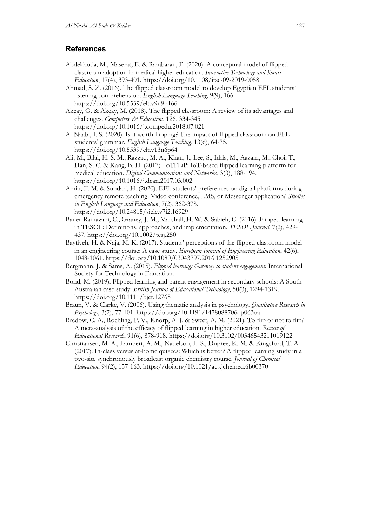### **References**

- Abdekhoda, M., Maserat, E. & Ranjbaran, F. (2020). A conceptual model of flipped classroom adoption in medical higher education. *Interactive Technology and Smart Education*, 17(4), 393-401. https://doi.org/10.1108/itse-09-2019-0058
- Ahmad, S. Z. (2016). The flipped classroom model to develop Egyptian EFL students' listening comprehension. *English Language Teaching*, 9(9), 166. https://doi.org/10.5539/elt.v9n9p166
- Akçay, G. & Akçay, M. (2018). The flipped classroom: A review of its advantages and challenges. *Computers & Education*, 126, 334-345. https://doi.org/10.1016/j.compedu.2018.07.021
- Al-Naabi, I. S. (2020). Is it worth flipping? The impact of flipped classroom on EFL students' grammar. *English Language Teaching*, 13(6), 64-75. https://doi.org/10.5539/elt.v13n6p64
- Ali, M., Bilal, H. S. M., Razzaq, M. A., Khan, J., Lee, S., Idris, M., Aazam, M., Choi, T., Han, S. C. & Kang, B. H. (2017). IoTFLiP: IoT-based flipped learning platform for medical education. *Digital Communications and Networks*, 3(3), 188-194. https://doi.org/10.1016/j.dcan.2017.03.002
- Amin, F. M. & Sundari, H. (2020). EFL students' preferences on digital platforms during emergency remote teaching: Video conference, LMS, or Messenger application? *Studies in English Language and Education*, 7(2), 362-378. https://doi.org/10.24815/siele.v7i2.16929
- Bauer-Ramazani, C., Graney, J. M., Marshall, H. W. & Sabieh, C. (2016). Flipped learning in TESOL: Definitions, approaches, and implementation. *TESOL Journal*, 7(2), 429- 437. https://doi.org/10.1002/tesj.250
- Baytiyeh, H. & Naja, M. K. (2017). Students' perceptions of the flipped classroom model in an engineering course: A case study. *European Journal of Engineering Education*, 42(6), 1048-1061. https://doi.org/10.1080/03043797.2016.1252905
- Bergmann, J. & Sams, A. (2015). *Flipped learning: Gateway to student engagement*. International Society for Technology in Education.
- Bond, M. (2019). Flipped learning and parent engagement in secondary schools: A South Australian case study. *British Journal of Educational Technology*, 50(3), 1294-1319. https://doi.org/10.1111/bjet.12765
- Braun, V. & Clarke, V. (2006). Using thematic analysis in psychology. *Qualitative Research in Psychology*, 3(2), 77-101. https://doi.org/10.1191/1478088706qp063oa
- Bredow, C. A., Roehling, P. V., Knorp, A. J. & Sweet, A. M. (2021). To flip or not to flip? A meta-analysis of the efficacy of flipped learning in higher education. *Review of Educational Research*, 91(6), 878-918. https://doi.org/10.3102/00346543211019122
- Christiansen, M. A., Lambert, A. M., Nadelson, L. S., Dupree, K. M. & Kingsford, T. A. (2017). In-class versus at-home quizzes: Which is better? A flipped learning study in a two-site synchronously broadcast organic chemistry course. *Journal of Chemical Education*, 94(2), 157-163. https://doi.org/10.1021/acs.jchemed.6b00370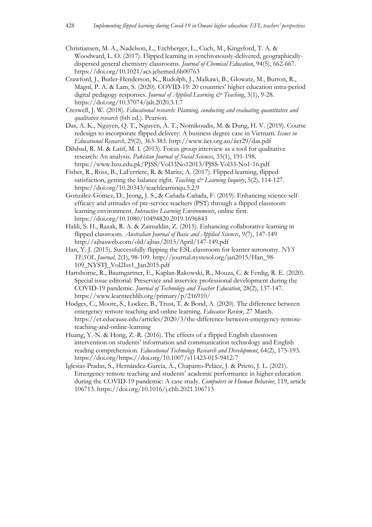- Christiansen, M. A., Nadelson, L., Etchberger, L., Cuch, M., Kingsford, T. A. & Woodward, L. O. (2017). Flipped learning in synchronously-delivered, geographicallydispersed general chemistry classrooms. *Journal of Chemical Education*, 94(5), 662-667. https://doi.org/10.1021/acs.jchemed.6b00763
- Crawford, J., Butler-Henderson, K., Rudolph, J., Malkawi, B., Glowatz, M., Burton, R., Magni, P. A. & Lam, S. (2020). COVID-19: 20 countries' higher education intra-period digital pedagogy responses. *Journal of Applied Learning & Teaching*, 3(1), 9-28. https://doi.org/10.37074/jalt.2020.3.1.7
- Creswell, J. W. (2018). *Educational research: Planning, conducting and evaluating quantitative and qualitative research* (6th ed.). Pearson.
- Das, A. K., Nguyen, Q. T., Nguyen, A. T., Nomikoudis, M. & Dung, H. V. (2019). Course redesign to incorporate flipped delivery: A business degree case in Vietnam. *Issues in Educational Research*, 29(2), 363-383. http://www.iier.org.au/iier29/das.pdf
- Dilshad, R. M. & Latif, M. I. (2013). Focus group interview as a tool for qualitative research: An analysis. *Pakistan Journal of Social Sciences*, 33(1), 191-198. https://www.bzu.edu.pk/PJSS/Vol33No12013/PJSS-Vol33-No1-16.pdf
- Fisher, R., Ross, B., LaFerriere, R. & Maritz, A. (2017). Flipped learning, flipped satisfaction, getting the balance right. *Teaching & Learning Inquiry*, 5(2), 114-127. https://doi.org/10.20343/teachlearninqu.5.2.9
- González-Gómez, D., Jeong, J. S., & Cañada-Cañada, F. (2019). Enhancing science selfefficacy and attitudes of pre-service teachers (PST) through a flipped classroom learning environment. *Interactive Learning Environments*, online first. https://doi.org/10.1080/10494820.2019.1696843
- Halili, S. H., Razak, R. A. & Zainuddin, Z. (2015). Enhancing collaborative learning in flipped classroom. *Australian Journal of Basic and Applied Sciences*, 9(7), 147-149 http://ajbasweb.com/old/ajbas/2015/April/147-149.pdf
- Han, Y. J. (2015). Successfully flipping the ESL classroom for learner autonomy. *NYS TESOL Journal*, 2(1), 98-109. http://journal.nystesol.org/jan2015/Han\_98- 109\_NYSTJ\_Vol2Iss1\_Jan2015.pdf
- Hartshorne, R., Baumgartner, E., Kaplan-Rakowski, R., Mouza, C. & Ferdig, R. E. (2020). Special issue editorial: Preservice and inservice professional development during the COVID-19 pandemic. *Journal of Technology and Teacher Education*, 28(2), 137-147. https://www.learntechlib.org/primary/p/216910/
- Hodges, C., Moore, S., Lockee, B., Trust, T. & Bond, A. (2020). The difference between emergency remote teaching and online learning. *Educause Review*, 27 March. https://er.educause.edu/articles/2020/3/the-difference-between-emergency-remoteteaching-and-online-learning
- Huang, Y.-N. & Hong, Z.-R. (2016). The effects of a flipped English classroom intervention on students' information and communication technology and English reading comprehension. *Educational Technology Research and Development*, 64(2), 175-193. https://doi.org/https://doi.org/10.1007/s11423-015-9412-7
- Iglesias-Pradas, S., Hernández-García, Á., Chaparro-Peláez, J. & Prieto, J. L. (2021). Emergency remote teaching and students' academic performance in higher education during the COVID-19 pandemic: A case study. *Computers in Human Behavior*, 119, article 106713. https://doi.org/10.1016/j.chb.2021.106713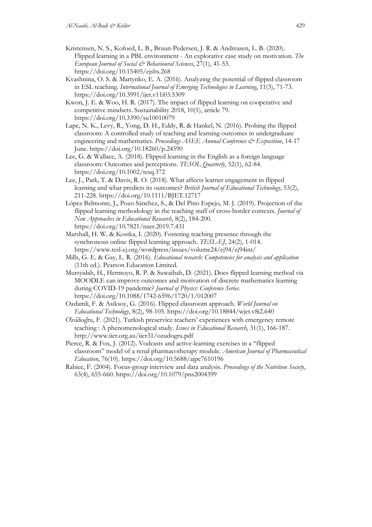- Kristensen, N. S., Kofoed, L. B., Bruun-Pedersen, J. R. & Andreasen, L. B. (2020). Flipped learning in a PBL environment - An explorative case study on motivation. *The European Journal of Social & Behavioural Sciences*, 27(1), 41-53. https://doi.org/10.15405/ejsbs.268
- Kvashnina, O. S. & Martynko, E. A. (2016). Analyzing the potential of flipped classroom in ESL teaching. *International Journal of Emerging Technologies in Learning*, 11(3), 71-73. https://doi.org/10.3991/ijet.v11i03.5309
- Kwon, J. E. & Woo, H. R. (2017). The impact of flipped learning on cooperative and competitive mindsets. Sustainability 2018, 10(1), article 79. https://doi.org/10.3390/su10010079
- Lape, N. K., Levy, R., Yong, D. H., Eddy, R. & Hankel, N. (2016). Probing the flipped classroom: A controlled study of teaching and learning outcomes in undergraduate engineering and mathematics. *Proceedings ASEE Annual Conference & Exposition*, 14-17 June. https://doi.org/10.18260/p.24590
- Lee, G. & Wallace, A. (2018). Flipped learning in the English as a foreign language classroom: Outcomes and perceptions. *TESOL Quarterly*, 52(1), 62-84. https://doi.org/10.1002/tesq.372
- Lee, J., Park, T. & Davis, R. O. (2018). What affects learner engagement in flipped learning and what predicts its outcomes? *British Journal of Educational Technology*, 53(2), 211-228. https://doi.org/10.1111/BJET.12717
- López Belmonte, J., Pozo Sánchez, S., & Del Pino Espejo, M. J. (2019). Projection of the flipped learning methodology in the teaching staff of cross-border contexts. *Journal of New Approaches in Educational Research*, 8(2), 184-200. https://doi.org/10.7821/naer.2019.7.431
- Marshall, H. W. & Kostka, I. (2020). Fostering teaching presence through the synchronous online flipped learning approach. *TESL-EJ*, 24(2), 1-014. https://www.tesl-ej.org/wordpress/issues/volume24/ej94/ej94int/
- Mills, G. E. & Gay, L. R. (2016). *Educational research: Competencies for analysis and application* (11th ed.). Pearson Education Limited.
- Mursyidah, H., Hermoyo, R. P. & Suwaibah, D. (2021). Does flipped learning method via MOODLE can improve outcomes and motivation of discrete mathematics learning during COVID-19 pandemic? *Journal of Physics: Conference Series*. https://doi.org/10.1088/1742-6596/1720/1/012007
- Ozdamli, F. & Asiksoy, G. (2016). Flipped classroom approach. *World Journal on Educational Technology*, 8(2), 98-105. https://doi.org/10.18844/wjet.v8i2.640
- Özüdoğru, F. (2021). Turkish preservice teachers' experiences with emergency remote teaching : A phenomenological study. *Issues in Educational Research*, 31(1), 166-187. http://www.iier.org.au/iier31/ozudogru.pdf
- Pierce, R. & Fox, J. (2012). Vodcasts and active-learning exercises in a "flipped classroom" model of a renal pharmacotherapy module. *American Journal of Pharmaceutical Education*, 76(10). https://doi.org/10.5688/ajpe7610196
- Rabiee, F. (2004). Focus-group interview and data analysis. *Proceedings of the Nutrition Society*, 63(4), 655-660. https://doi.org/10.1079/pns2004399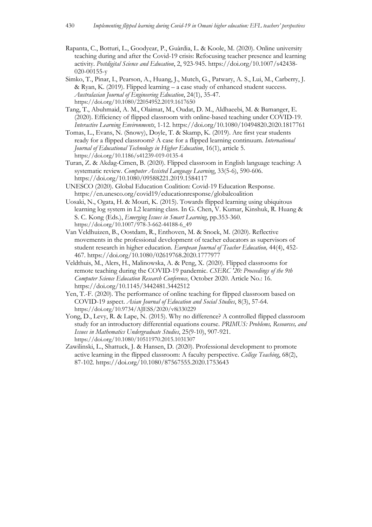- Rapanta, C., Botturi, L., Goodyear, P., Guàrdia, L. & Koole, M. (2020). Online university teaching during and after the Covid-19 crisis: Refocusing teacher presence and learning activity. *Postdigital Science and Education*, 2, 923-945. https://doi.org/10.1007/s42438- 020-00155-y
- Simko, T., Pinar, I., Pearson, A., Huang, J., Mutch, G., Patwary, A. S., Lui, M., Carberry, J. & Ryan, K. (2019). Flipped learning – a case study of enhanced student success. *Australasian Journal of Engineering Education*, 24(1), 35-47. https://doi.org/10.1080/22054952.2019.1617650
- Tang, T., Abuhmaid, A. M., Olaimat, M., Oudat, D. M., Aldhaeebi, M. & Bamanger, E. (2020). Efficiency of flipped classroom with online-based teaching under COVID-19. *Interactive Learning Environments*, 1-12. https://doi.org/10.1080/10494820.2020.1817761
- Tomas, L., Evans, N. (Snowy), Doyle, T. & Skamp, K. (2019). Are first year students ready for a flipped classroom? A case for a flipped learning continuum. *International Journal of Educational Technology in Higher Education*, 16(1), article 5. https://doi.org/10.1186/s41239-019-0135-4
- Turan, Z. & Akdag-Cimen, B. (2020). Flipped classroom in English language teaching: A systematic review. *Computer Assisted Language Learning*, 33(5-6), 590-606. https://doi.org/10.1080/09588221.2019.1584117
- UNESCO (2020). Global Education Coalition: Covid-19 Education Response. https://en.unesco.org/covid19/educationresponse/globalcoalition
- Uosaki, N., Ogata, H. & Mouri, K. (2015). Towards flipped learning using ubiquitous learning log system in L2 learning class. In G. Chen, V. Kumar, Kinshuk, R. Huang & S. C. Kong (Eds.), *Emerging Issues in Smart Learning*, pp.353-360. https://doi.org/10.1007/978-3-662-44188-6\_49
- Van Veldhuizen, B., Oostdam, R., Enthoven, M. & Snoek, M. (2020). Reflective movements in the professional development of teacher educators as supervisors of student research in higher education. *European Journal of Teacher Education,* 44(4), 452- 467. https://doi.org/10.1080/02619768.2020.1777977
- Veldthuis, M., Alers, H., Malinowska, A. & Peng, X. (2020). Flipped classrooms for remote teaching during the COVID-19 pandemic. *CSERC '20: Proceedings of the 9th Computer Science Education Research Conference,* October 2020. Article No.: 16. https://doi.org/10.1145/3442481.3442512
- Yen, T.-F. (2020). The performance of online teaching for flipped classroom based on COVID-19 aspect. *Asian Journal of Education and Social Studies*, 8(3), 57-64. https://doi.org/10.9734/AJESS/2020/v8i330229
- Yong, D., Levy, R. & Lape, N. (2015). Why no difference? A controlled flipped classroom study for an introductory differential equations course. *PRIMUS: Problems, Resources, and Issues in Mathematics Undergraduate Studies*, 25(9-10), 907-921. https://doi.org/10.1080/10511970.2015.1031307
- Zawilinski, L., Shattuck, J. & Hansen, D. (2020). Professional development to promote active learning in the flipped classroom: A faculty perspective. *College Teaching*, 68(2), 87-102. https://doi.org/10.1080/87567555.2020.1753643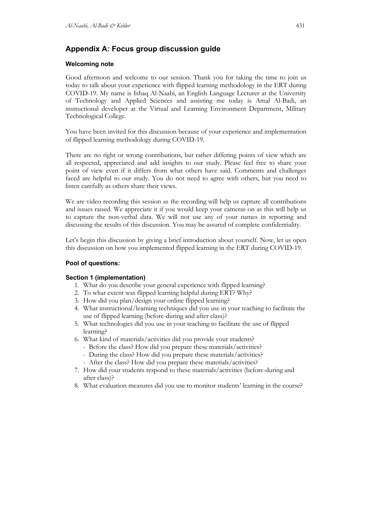## **Appendix A: Focus group discussion guide**

### **Welcoming note**

Good afternoon and welcome to our session. Thank you for taking the time to join us today to talk about your experience with flipped learning methodology in the ERT during COVID-19. My name is Ishaq Al-Naabi, an English Language Lecturer at the University of Technology and Applied Sciences and assisting me today is Amal Al-Badi, an instructional developer at the Virtual and Learning Environment Department, Military Technological College.

You have been invited for this discussion because of your experience and implementation of flipped learning methodology during COVID-19.

There are no right or wrong contributions, but rather differing points of view which are all respected, appreciated and add insights to our study. Please feel free to share your point of view even if it differs from what others have said. Comments and challenges faced are helpful to our study. You do not need to agree with others, but you need to listen carefully as others share their views.

We are video recording this session as the recording will help us capture all contributions and issues raised. We appreciate it if you would keep your cameras on as this will help us to capture the non-verbal data. We will not use any of your names in reporting and discussing the results of this discussion. You may be assured of complete confidentiality.

Let's begin this discussion by giving a brief introduction about yourself. Now, let us open this discussion on how you implemented flipped learning in the ERT during COVID-19.

### **Pool of questions:**

### **Section 1 (implementation)**

- 1. What do you describe your general experience with flipped learning?
- 2. To what extent was flipped learning helpful during ERT? Why?
- 3. How did you plan/design your online flipped learning?
- 4. What instructional/learning techniques did you use in your teaching to facilitate the use of flipped learning (before-during and after class)?
- 5. What technologies did you use in your teaching to facilitate the use of flipped learning?
- 6. What kind of materials/activities did you provide your students?
	- Before the class? How did you prepare these materials/activities?
	- During the class? How did you prepare these materials/activities?
	- After the class? How did you prepare these materials/activities?
- 7. How did your students respond to these materials/activities (before-during and after class)?
- 8. What evaluation measures did you use to monitor students' learning in the course?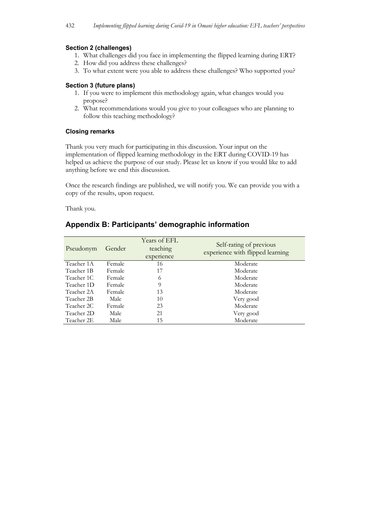### **Section 2 (challenges)**

- 1. What challenges did you face in implementing the flipped learning during ERT?
- 2. How did you address these challenges?
- 3. To what extent were you able to address these challenges? Who supported you?

### **Section 3 (future plans)**

- 1. If you were to implement this methodology again, what changes would you propose?
- 2. What recommendations would you give to your colleagues who are planning to follow this teaching methodology?

### **Closing remarks**

Thank you very much for participating in this discussion. Your input on the implementation of flipped learning methodology in the ERT during COVID-19 has helped us achieve the purpose of our study. Please let us know if you would like to add anything before we end this discussion.

Once the research findings are published, we will notify you. We can provide you with a copy of the results, upon request.

Thank you.

### **Appendix B: Participants' demographic information**

| Pseudonym  | Gender | Years of EFL<br>teaching<br>experience | Self-rating of previous<br>experience with flipped learning |
|------------|--------|----------------------------------------|-------------------------------------------------------------|
| Teacher 1A | Female | 16                                     | Moderate                                                    |
| Teacher 1B | Female | 17                                     | Moderate                                                    |
| Teacher 1C | Female | 6                                      | Moderate                                                    |
| Teacher 1D | Female | 9                                      | Moderate                                                    |
| Teacher 2A | Female | 13                                     | Moderate                                                    |
| Teacher 2B | Male   | 10                                     | Very good                                                   |
| Teacher 2C | Female | 23                                     | Moderate                                                    |
| Teacher 2D | Male   | 21                                     | Very good                                                   |
| Teacher 2E | Male   | 15                                     | Moderate                                                    |